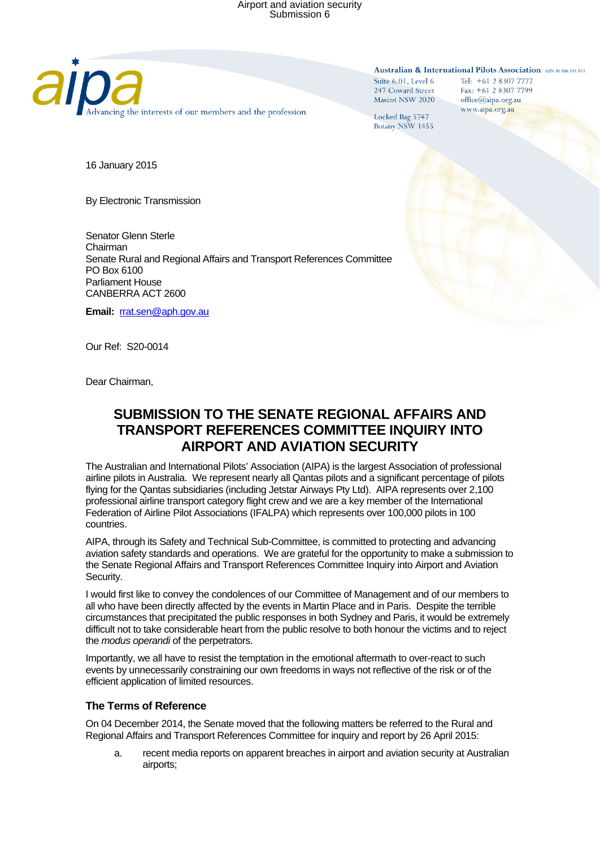

Australian & International Pilots Association ABN 30 006 191 853

Suite  $6.01$ . Level  $6$ 247 Coward Street Mascot NSW 2020 Tel: +61 2 8307 7777 Fax: +61 2 8307 7799 office@aipa.org.au www.aipa.org.au

Locked Bag 5747 Botany NSW 1455

16 January 2015

By Electronic Transmission

Senator Glenn Sterle Chairman Senate Rural and Regional Affairs and Transport References Committee PO Box 6100 Parliament House CANBERRA ACT 2600

**Email:** [rrat.sen@aph.gov.au](mailto:rrat.sen@aph.gov.au)

Our Ref: S20-0014

Dear Chairman,

## **SUBMISSION TO THE SENATE REGIONAL AFFAIRS AND TRANSPORT REFERENCES COMMITTEE INQUIRY INTO AIRPORT AND AVIATION SECURITY**

The Australian and International Pilots' Association (AIPA) is the largest Association of professional airline pilots in Australia. We represent nearly all Qantas pilots and a significant percentage of pilots flying for the Qantas subsidiaries (including Jetstar Airways Pty Ltd). AIPA represents over 2,100 professional airline transport category flight crew and we are a key member of the International Federation of Airline Pilot Associations (IFALPA) which represents over 100,000 pilots in 100 countries.

AIPA, through its Safety and Technical Sub-Committee, is committed to protecting and advancing aviation safety standards and operations. We are grateful for the opportunity to make a submission to the Senate Regional Affairs and Transport References Committee Inquiry into Airport and Aviation Security.

I would first like to convey the condolences of our Committee of Management and of our members to all who have been directly affected by the events in Martin Place and in Paris. Despite the terrible circumstances that precipitated the public responses in both Sydney and Paris, it would be extremely difficult not to take considerable heart from the public resolve to both honour the victims and to reject the *modus operandi* of the perpetrators.

Importantly, we all have to resist the temptation in the emotional aftermath to over-react to such events by unnecessarily constraining our own freedoms in ways not reflective of the risk or of the efficient application of limited resources.

## **The Terms of Reference**

On 04 December 2014, the Senate moved that the following matters be referred to the Rural and Regional Affairs and Transport References Committee for inquiry and report by 26 April 2015:

a. recent media reports on apparent breaches in airport and aviation security at Australian airports;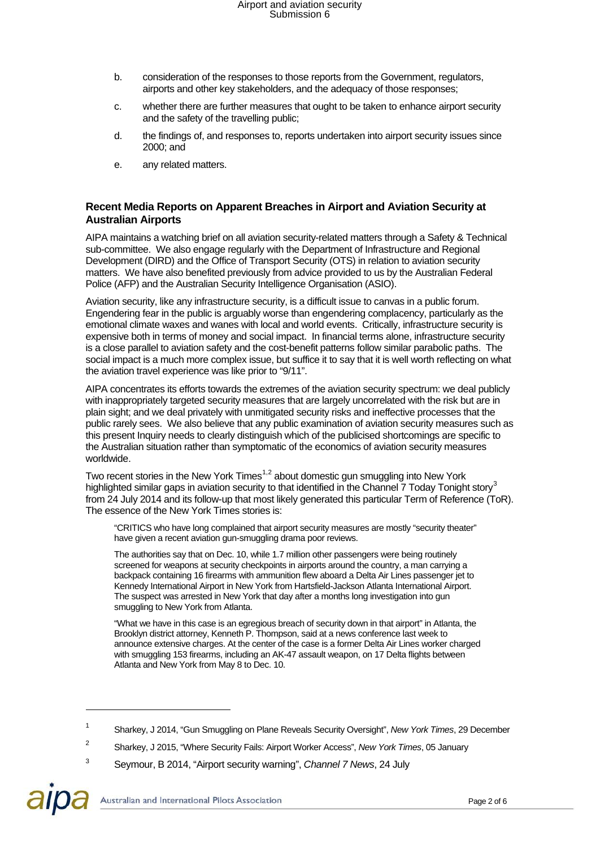- b. consideration of the responses to those reports from the Government, regulators, airports and other key stakeholders, and the adequacy of those responses;
- c. whether there are further measures that ought to be taken to enhance airport security and the safety of the travelling public;
- d. the findings of, and responses to, reports undertaken into airport security issues since 2000; and
- e. any related matters.

### **Recent Media Reports on Apparent Breaches in Airport and Aviation Security at Australian Airports**

AIPA maintains a watching brief on all aviation security-related matters through a Safety & Technical sub-committee. We also engage regularly with the Department of Infrastructure and Regional Development (DIRD) and the Office of Transport Security (OTS) in relation to aviation security matters. We have also benefited previously from advice provided to us by the Australian Federal Police (AFP) and the Australian Security Intelligence Organisation (ASIO).

Aviation security, like any infrastructure security, is a difficult issue to canvas in a public forum. Engendering fear in the public is arguably worse than engendering complacency, particularly as the emotional climate waxes and wanes with local and world events. Critically, infrastructure security is expensive both in terms of money and social impact. In financial terms alone, infrastructure security is a close parallel to aviation safety and the cost-benefit patterns follow similar parabolic paths. The social impact is a much more complex issue, but suffice it to say that it is well worth reflecting on what the aviation travel experience was like prior to "9/11".

AIPA concentrates its efforts towards the extremes of the aviation security spectrum: we deal publicly with inappropriately targeted security measures that are largely uncorrelated with the risk but are in plain sight; and we deal privately with unmitigated security risks and ineffective processes that the public rarely sees. We also believe that any public examination of aviation security measures such as this present Inquiry needs to clearly distinguish which of the publicised shortcomings are specific to the Australian situation rather than symptomatic of the economics of aviation security measures worldwide.

Two recent stories in the New York Times<sup>[1](#page-1-0)[,2](#page-1-1)</sup> about domestic gun smuggling into New York highlighted similar gaps in aviation security to that identified in the Channel 7 Today Tonight story<sup>[3](#page-1-2)</sup> from 24 July 2014 and its follow-up that most likely generated this particular Term of Reference (ToR). The essence of the New York Times stories is:

"CRITICS who have long complained that airport security measures are mostly "security theater" have given a recent aviation gun-smuggling drama poor reviews.

The authorities say that on Dec. 10, while 1.7 million other passengers were being routinely screened for weapons at security checkpoints in airports around the country, a man carrying a backpack containing 16 firearms with ammunition flew aboard a Delta Air Lines passenger jet to Kennedy International Airport in New York from Hartsfield-Jackson Atlanta International Airport. The suspect was arrested in New York that day after a months long investigation into gun smuggling to New York from Atlanta.

"What we have in this case is an egregious breach of security down in that airport" in Atlanta, the Brooklyn district attorney, Kenneth P. Thompson, said at a news conference last week to announce extensive charges. At the center of the case is a former Delta Air Lines worker charged with smuggling 153 firearms, including an AK-47 assault weapon, on 17 Delta flights between Atlanta and New York from May 8 to Dec. 10.

 $\overline{a}$ 

<span id="page-1-0"></span><sup>1</sup> Sharkey, J 2014, "Gun Smuggling on Plane Reveals Security Oversight", *New York Times*, 29 December

<sup>2</sup> Sharkey, J 2015, "Where Security Fails: Airport Worker Access", *New York Times*, 05 January

<span id="page-1-2"></span><span id="page-1-1"></span><sup>3</sup> Seymour, B 2014, "Airport security warning", *Channel 7 News*, 24 July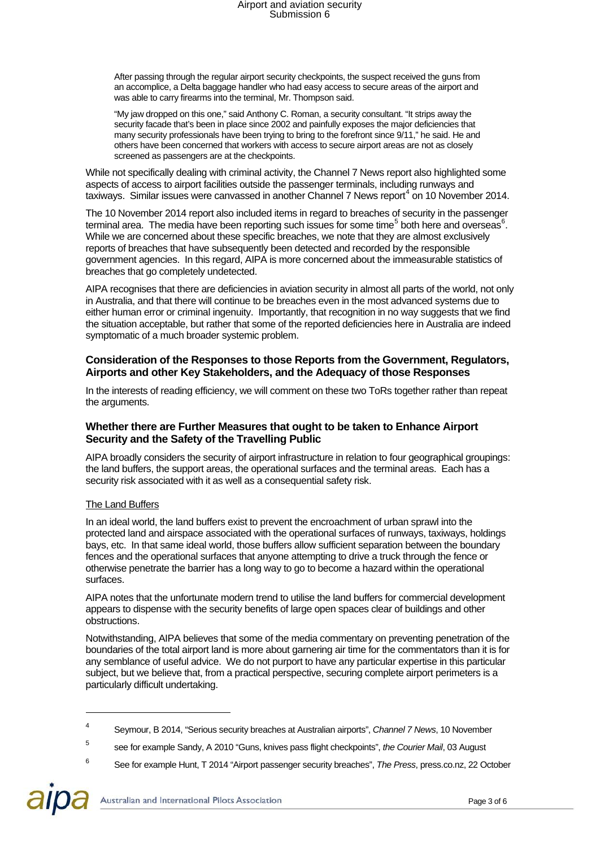After passing through the regular airport security checkpoints, the suspect received the guns from an accomplice, a Delta baggage handler who had easy access to secure areas of the airport and was able to carry firearms into the terminal, Mr. Thompson said.

"My jaw dropped on this one," said Anthony C. Roman, a security consultant. "It strips away the security facade that's been in place since 2002 and painfully exposes the major deficiencies that many security professionals have been trying to bring to the forefront since 9/11," he said. He and others have been concerned that workers with access to secure airport areas are not as closely screened as passengers are at the checkpoints.

While not specifically dealing with criminal activity, the Channel 7 News report also highlighted some aspects of access to airport facilities outside the passenger terminals, including runways and taxiways. Similar issues were canvassed in another Channel 7 News report<sup>[4](#page-2-0)</sup> on 10 November 2014.

The 10 November 2014 report also included items in regard to breaches of security in the passenger terminal area. The media have been reporting such issues for some time<sup>[5](#page-2-1)</sup> both here and overseas<sup>[6](#page-2-2)</sup>. While we are concerned about these specific breaches, we note that they are almost exclusively reports of breaches that have subsequently been detected and recorded by the responsible government agencies. In this regard, AIPA is more concerned about the immeasurable statistics of breaches that go completely undetected.

AIPA recognises that there are deficiencies in aviation security in almost all parts of the world, not only in Australia, and that there will continue to be breaches even in the most advanced systems due to either human error or criminal ingenuity. Importantly, that recognition in no way suggests that we find the situation acceptable, but rather that some of the reported deficiencies here in Australia are indeed symptomatic of a much broader systemic problem.

### **Consideration of the Responses to those Reports from the Government, Regulators, Airports and other Key Stakeholders, and the Adequacy of those Responses**

In the interests of reading efficiency, we will comment on these two ToRs together rather than repeat the arguments.

### **Whether there are Further Measures that ought to be taken to Enhance Airport Security and the Safety of the Travelling Public**

AIPA broadly considers the security of airport infrastructure in relation to four geographical groupings: the land buffers, the support areas, the operational surfaces and the terminal areas. Each has a security risk associated with it as well as a consequential safety risk.

### The Land Buffers

In an ideal world, the land buffers exist to prevent the encroachment of urban sprawl into the protected land and airspace associated with the operational surfaces of runways, taxiways, holdings bays, etc. In that same ideal world, those buffers allow sufficient separation between the boundary fences and the operational surfaces that anyone attempting to drive a truck through the fence or otherwise penetrate the barrier has a long way to go to become a hazard within the operational surfaces.

AIPA notes that the unfortunate modern trend to utilise the land buffers for commercial development appears to dispense with the security benefits of large open spaces clear of buildings and other obstructions.

Notwithstanding, AIPA believes that some of the media commentary on preventing penetration of the boundaries of the total airport land is more about garnering air time for the commentators than it is for any semblance of useful advice. We do not purport to have any particular expertise in this particular subject, but we believe that, from a practical perspective, securing complete airport perimeters is a particularly difficult undertaking.

 $\overline{a}$ 

<span id="page-2-0"></span><sup>4</sup> Seymour, B 2014, "Serious security breaches at Australian airports", *Channel 7 News*, 10 November

<sup>5</sup> see for example Sandy, A 2010 "Guns, knives pass flight checkpoints", *the Courier Mail*, 03 August

<span id="page-2-2"></span><span id="page-2-1"></span><sup>6</sup> See for example Hunt, T 2014 "Airport passenger security breaches", *The Press*, press.co.nz, 22 October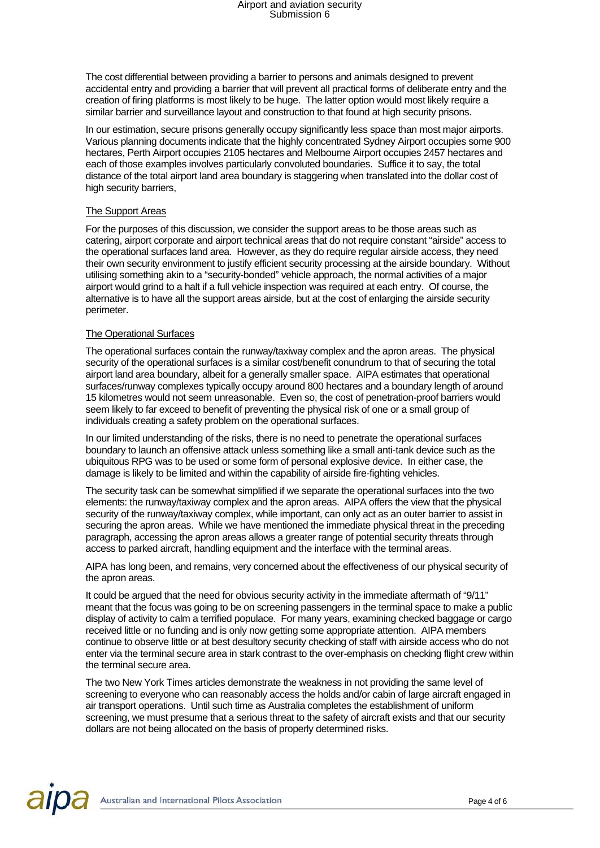The cost differential between providing a barrier to persons and animals designed to prevent accidental entry and providing a barrier that will prevent all practical forms of deliberate entry and the creation of firing platforms is most likely to be huge. The latter option would most likely require a similar barrier and surveillance layout and construction to that found at high security prisons.

In our estimation, secure prisons generally occupy significantly less space than most major airports. Various planning documents indicate that the highly concentrated Sydney Airport occupies some 900 hectares, Perth Airport occupies 2105 hectares and Melbourne Airport occupies 2457 hectares and each of those examples involves particularly convoluted boundaries. Suffice it to say, the total distance of the total airport land area boundary is staggering when translated into the dollar cost of high security barriers,

#### The Support Areas

For the purposes of this discussion, we consider the support areas to be those areas such as catering, airport corporate and airport technical areas that do not require constant "airside" access to the operational surfaces land area. However, as they do require regular airside access, they need their own security environment to justify efficient security processing at the airside boundary. Without utilising something akin to a "security-bonded" vehicle approach, the normal activities of a major airport would grind to a halt if a full vehicle inspection was required at each entry. Of course, the alternative is to have all the support areas airside, but at the cost of enlarging the airside security perimeter.

#### The Operational Surfaces

The operational surfaces contain the runway/taxiway complex and the apron areas. The physical security of the operational surfaces is a similar cost/benefit conundrum to that of securing the total airport land area boundary, albeit for a generally smaller space. AIPA estimates that operational surfaces/runway complexes typically occupy around 800 hectares and a boundary length of around 15 kilometres would not seem unreasonable. Even so, the cost of penetration-proof barriers would seem likely to far exceed to benefit of preventing the physical risk of one or a small group of individuals creating a safety problem on the operational surfaces.

In our limited understanding of the risks, there is no need to penetrate the operational surfaces boundary to launch an offensive attack unless something like a small anti-tank device such as the ubiquitous RPG was to be used or some form of personal explosive device. In either case, the damage is likely to be limited and within the capability of airside fire-fighting vehicles.

The security task can be somewhat simplified if we separate the operational surfaces into the two elements: the runway/taxiway complex and the apron areas. AIPA offers the view that the physical security of the runway/taxiway complex, while important, can only act as an outer barrier to assist in securing the apron areas. While we have mentioned the immediate physical threat in the preceding paragraph, accessing the apron areas allows a greater range of potential security threats through access to parked aircraft, handling equipment and the interface with the terminal areas.

AIPA has long been, and remains, very concerned about the effectiveness of our physical security of the apron areas.

It could be argued that the need for obvious security activity in the immediate aftermath of "9/11" meant that the focus was going to be on screening passengers in the terminal space to make a public display of activity to calm a terrified populace. For many years, examining checked baggage or cargo received little or no funding and is only now getting some appropriate attention. AIPA members continue to observe little or at best desultory security checking of staff with airside access who do not enter via the terminal secure area in stark contrast to the over-emphasis on checking flight crew within the terminal secure area.

The two New York Times articles demonstrate the weakness in not providing the same level of screening to everyone who can reasonably access the holds and/or cabin of large aircraft engaged in air transport operations. Until such time as Australia completes the establishment of uniform screening, we must presume that a serious threat to the safety of aircraft exists and that our security dollars are not being allocated on the basis of properly determined risks.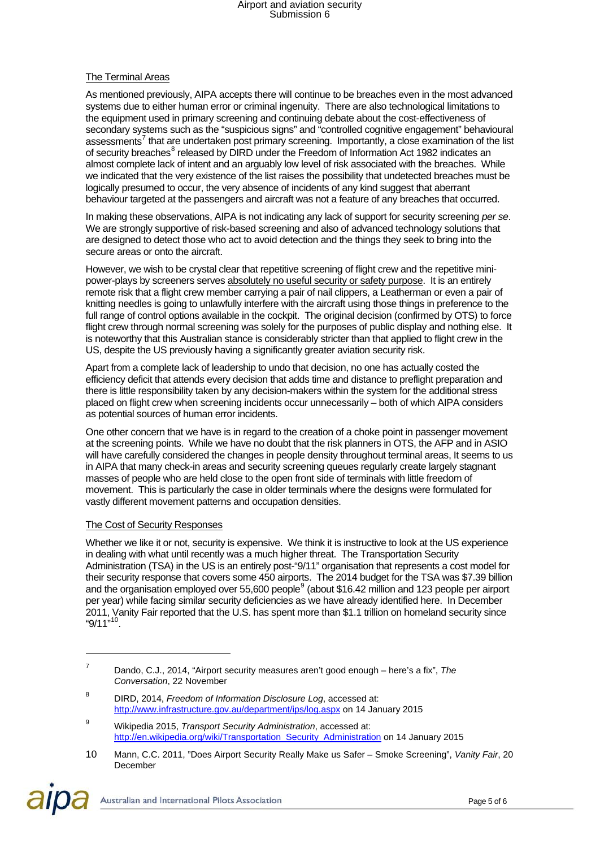#### The Terminal Areas

As mentioned previously, AIPA accepts there will continue to be breaches even in the most advanced systems due to either human error or criminal ingenuity. There are also technological limitations to the equipment used in primary screening and continuing debate about the cost-effectiveness of secondary systems such as the "suspicious signs" and "controlled cognitive engagement" behavioural assessments<sup>[7](#page-4-0)</sup> that are undertaken post primary screening. Importantly, a close examination of the list of security breaches<sup>[8](#page-4-1)</sup> released by DIRD under the Freedom of Information Act 1982 indicates an almost complete lack of intent and an arguably low level of risk associated with the breaches. While we indicated that the very existence of the list raises the possibility that undetected breaches must be logically presumed to occur, the very absence of incidents of any kind suggest that aberrant behaviour targeted at the passengers and aircraft was not a feature of any breaches that occurred.

In making these observations, AIPA is not indicating any lack of support for security screening *per se*. We are strongly supportive of risk-based screening and also of advanced technology solutions that are designed to detect those who act to avoid detection and the things they seek to bring into the secure areas or onto the aircraft.

However, we wish to be crystal clear that repetitive screening of flight crew and the repetitive minipower-plays by screeners serves absolutely no useful security or safety purpose. It is an entirely remote risk that a flight crew member carrying a pair of nail clippers, a Leatherman or even a pair of knitting needles is going to unlawfully interfere with the aircraft using those things in preference to the full range of control options available in the cockpit. The original decision (confirmed by OTS) to force flight crew through normal screening was solely for the purposes of public display and nothing else. It is noteworthy that this Australian stance is considerably stricter than that applied to flight crew in the US, despite the US previously having a significantly greater aviation security risk.

Apart from a complete lack of leadership to undo that decision, no one has actually costed the efficiency deficit that attends every decision that adds time and distance to preflight preparation and there is little responsibility taken by any decision-makers within the system for the additional stress placed on flight crew when screening incidents occur unnecessarily – both of which AIPA considers as potential sources of human error incidents.

One other concern that we have is in regard to the creation of a choke point in passenger movement at the screening points. While we have no doubt that the risk planners in OTS, the AFP and in ASIO will have carefully considered the changes in people density throughout terminal areas, It seems to us in AIPA that many check-in areas and security screening queues regularly create largely stagnant masses of people who are held close to the open front side of terminals with little freedom of movement. This is particularly the case in older terminals where the designs were formulated for vastly different movement patterns and occupation densities.

#### The Cost of Security Responses

-

Whether we like it or not, security is expensive. We think it is instructive to look at the US experience in dealing with what until recently was a much higher threat. The Transportation Security Administration (TSA) in the US is an entirely post-"9/11" organisation that represents a cost model for their security response that covers some 450 airports. The 2014 budget for the TSA was \$7.39 billion and the organisation employed over 55,600 people<sup>[9](#page-4-2)</sup> (about \$16.42 million and 123 people per airport per year) while facing similar security deficiencies as we have already identified here. In December 2011, Vanity Fair reported that the U.S. has spent more than \$1.1 trillion on homeland security since "9/11"<sup>[10](#page-4-3)</sup>.

Australian and International Pilots Association

<span id="page-4-0"></span><sup>7</sup> Dando, C.J., 2014, "Airport security measures aren't good enough – here's a fix", *The Conversation*, 22 November

<span id="page-4-1"></span><sup>8</sup> DIRD, 2014, *Freedom of Information Disclosure Log*, accessed at: <http://www.infrastructure.gov.au/department/ips/log.aspx> on 14 January 2015

<span id="page-4-2"></span><sup>9</sup> Wikipedia 2015, *Transport Security Administration*, accessed at: [http://en.wikipedia.org/wiki/Transportation\\_Security\\_Administration](http://en.wikipedia.org/wiki/Transportation_Security_Administration) on 14 January 2015

<span id="page-4-3"></span><sup>10</sup> Mann, C.C. 2011, "Does Airport Security Really Make us Safer – Smoke Screening", *Vanity Fair*, 20 December